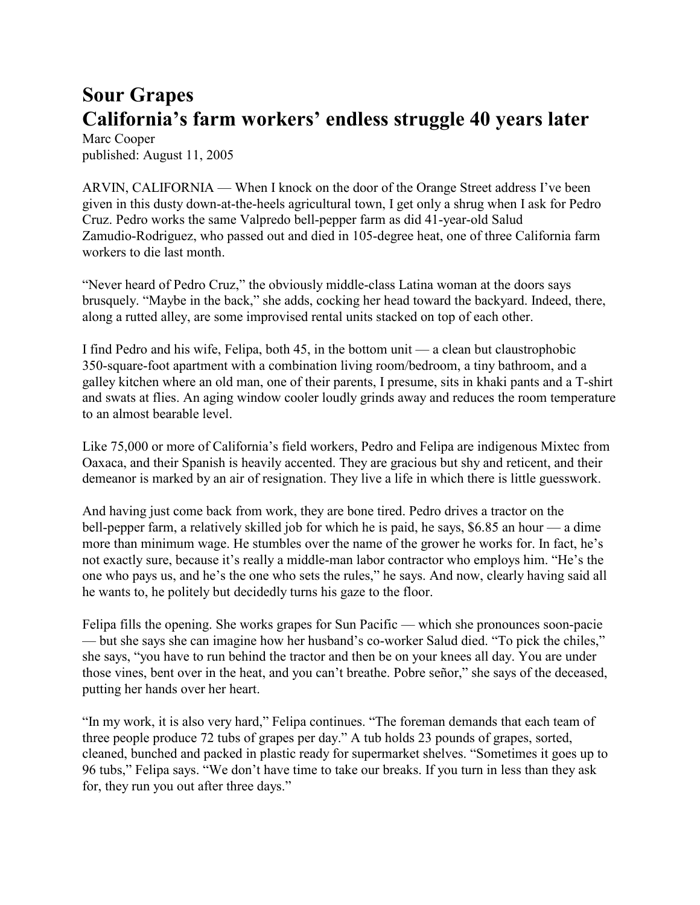## **Sour Grapes California's farm workers' endless struggle 40 years later**

Marc Cooper published: August 11, 2005

ARVIN, CALIFORNIA — When I knock on the door of the Orange Street address I've been given in this dusty down-at-the-heels agricultural town, I get only a shrug when I ask for Pedro Cruz. Pedro works the same Valpredo bell-pepper farm as did 41-year-old Salud Zamudio-Rodriguez, who passed out and died in 105-degree heat, one of three California farm workers to die last month.

"Never heard of Pedro Cruz," the obviously middle-class Latina woman at the doors says brusquely. "Maybe in the back," she adds, cocking her head toward the backyard. Indeed, there, along a rutted alley, are some improvised rental units stacked on top of each other.

I find Pedro and his wife, Felipa, both 45, in the bottom unit — a clean but claustrophobic 350-square-foot apartment with a combination living room/bedroom, a tiny bathroom, and a galley kitchen where an old man, one of their parents, I presume, sits in khaki pants and a T-shirt and swats at flies. An aging window cooler loudly grinds away and reduces the room temperature to an almost bearable level.

Like 75,000 or more of California's field workers, Pedro and Felipa are indigenous Mixtec from Oaxaca, and their Spanish is heavily accented. They are gracious but shy and reticent, and their demeanor is marked by an air of resignation. They live a life in which there is little guesswork.

And having just come back from work, they are bone tired. Pedro drives a tractor on the bell-pepper farm, a relatively skilled job for which he is paid, he says, \$6.85 an hour — a dime more than minimum wage. He stumbles over the name of the grower he works for. In fact, he's not exactly sure, because it's really a middle-man labor contractor who employs him. "He's the one who pays us, and he's the one who sets the rules," he says. And now, clearly having said all he wants to, he politely but decidedly turns his gaze to the floor.

Felipa fills the opening. She works grapes for Sun Pacific — which she pronounces soon-pacie — but she says she can imagine how her husband's co-worker Salud died. "To pick the chiles," she says, "you have to run behind the tractor and then be on your knees all day. You are under those vines, bent over in the heat, and you can't breathe. Pobre señor," she says of the deceased, putting her hands over her heart.

"In my work, it is also very hard," Felipa continues. "The foreman demands that each team of three people produce 72 tubs of grapes per day." A tub holds 23 pounds of grapes, sorted, cleaned, bunched and packed in plastic ready for supermarket shelves. "Sometimes it goes up to 96 tubs," Felipa says. "We don't have time to take our breaks. If you turn in less than they ask for, they run you out after three days."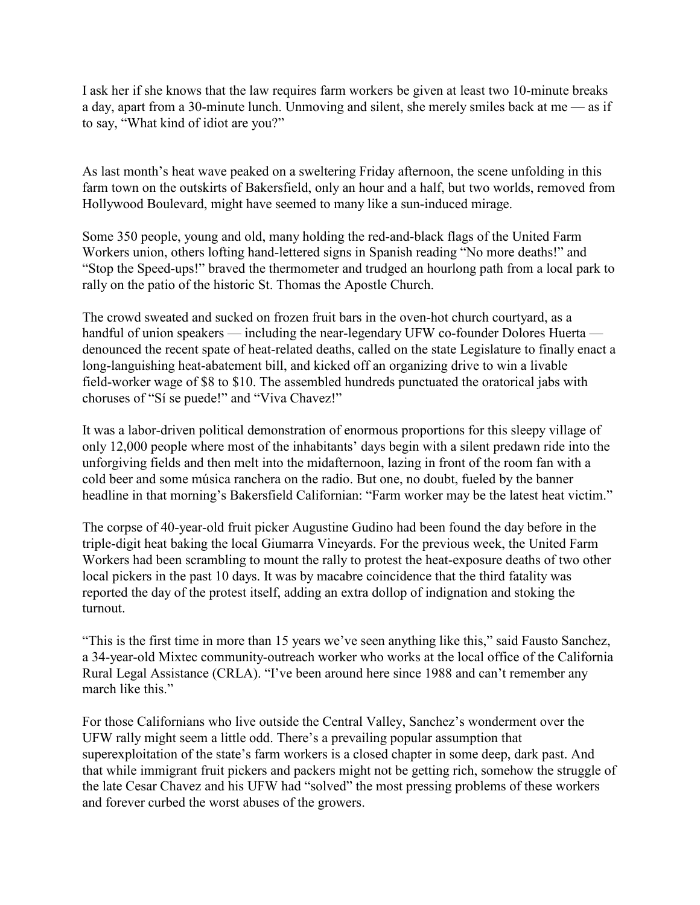I ask her if she knows that the law requires farm workers be given at least two 10-minute breaks a day, apart from a 30-minute lunch. Unmoving and silent, she merely smiles back at me — as if to say, "What kind of idiot are you?"

As last month's heat wave peaked on a sweltering Friday afternoon, the scene unfolding in this farm town on the outskirts of Bakersfield, only an hour and a half, but two worlds, removed from Hollywood Boulevard, might have seemed to many like a sun-induced mirage.

Some 350 people, young and old, many holding the red-and-black flags of the United Farm Workers union, others lofting hand-lettered signs in Spanish reading "No more deaths!" and "Stop the Speed-ups!" braved the thermometer and trudged an hourlong path from a local park to rally on the patio of the historic St. Thomas the Apostle Church.

The crowd sweated and sucked on frozen fruit bars in the oven-hot church courtyard, as a handful of union speakers — including the near-legendary UFW co-founder Dolores Huerta denounced the recent spate of heat-related deaths, called on the state Legislature to finally enact a long-languishing heat-abatement bill, and kicked off an organizing drive to win a livable field-worker wage of \$8 to \$10. The assembled hundreds punctuated the oratorical jabs with choruses of "Sí se puede!" and "Viva Chavez!"

It was a labor-driven political demonstration of enormous proportions for this sleepy village of only 12,000 people where most of the inhabitants' days begin with a silent predawn ride into the unforgiving fields and then melt into the midafternoon, lazing in front of the room fan with a cold beer and some música ranchera on the radio. But one, no doubt, fueled by the banner headline in that morning's Bakersfield Californian: "Farm worker may be the latest heat victim."

The corpse of 40-year-old fruit picker Augustine Gudino had been found the day before in the triple-digit heat baking the local Giumarra Vineyards. For the previous week, the United Farm Workers had been scrambling to mount the rally to protest the heat-exposure deaths of two other local pickers in the past 10 days. It was by macabre coincidence that the third fatality was reported the day of the protest itself, adding an extra dollop of indignation and stoking the turnout.

"This is the first time in more than 15 years we've seen anything like this," said Fausto Sanchez, a 34-year-old Mixtec community-outreach worker who works at the local office of the California Rural Legal Assistance (CRLA). "I've been around here since 1988 and can't remember any march like this."

For those Californians who live outside the Central Valley, Sanchez's wonderment over the UFW rally might seem a little odd. There's a prevailing popular assumption that superexploitation of the state's farm workers is a closed chapter in some deep, dark past. And that while immigrant fruit pickers and packers might not be getting rich, somehow the struggle of the late Cesar Chavez and his UFW had "solved" the most pressing problems of these workers and forever curbed the worst abuses of the growers.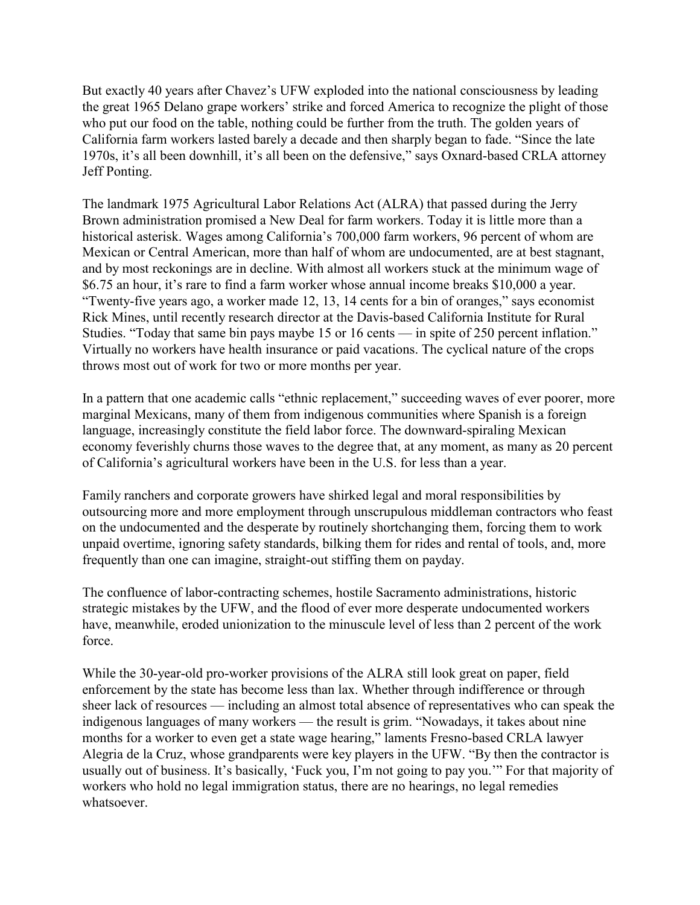But exactly 40 years after Chavez's UFW exploded into the national consciousness by leading the great 1965 Delano grape workers' strike and forced America to recognize the plight of those who put our food on the table, nothing could be further from the truth. The golden years of California farm workers lasted barely a decade and then sharply began to fade. "Since the late 1970s, it's all been downhill, it's all been on the defensive," says Oxnard-based CRLA attorney Jeff Ponting.

The landmark 1975 Agricultural Labor Relations Act (ALRA) that passed during the Jerry Brown administration promised a New Deal for farm workers. Today it is little more than a historical asterisk. Wages among California's 700,000 farm workers, 96 percent of whom are Mexican or Central American, more than half of whom are undocumented, are at best stagnant, and by most reckonings are in decline. With almost all workers stuck at the minimum wage of \$6.75 an hour, it's rare to find a farm worker whose annual income breaks \$10,000 a year. "Twenty-five years ago, a worker made 12, 13, 14 cents for a bin of oranges," says economist Rick Mines, until recently research director at the Davis-based California Institute for Rural Studies. "Today that same bin pays maybe 15 or 16 cents — in spite of 250 percent inflation." Virtually no workers have health insurance or paid vacations. The cyclical nature of the crops throws most out of work for two or more months per year.

In a pattern that one academic calls "ethnic replacement," succeeding waves of ever poorer, more marginal Mexicans, many of them from indigenous communities where Spanish is a foreign language, increasingly constitute the field labor force. The downward-spiraling Mexican economy feverishly churns those waves to the degree that, at any moment, as many as 20 percent of California's agricultural workers have been in the U.S. for less than a year.

Family ranchers and corporate growers have shirked legal and moral responsibilities by outsourcing more and more employment through unscrupulous middleman contractors who feast on the undocumented and the desperate by routinely shortchanging them, forcing them to work unpaid overtime, ignoring safety standards, bilking them for rides and rental of tools, and, more frequently than one can imagine, straight-out stiffing them on payday.

The confluence of labor-contracting schemes, hostile Sacramento administrations, historic strategic mistakes by the UFW, and the flood of ever more desperate undocumented workers have, meanwhile, eroded unionization to the minuscule level of less than 2 percent of the work force.

While the 30-year-old pro-worker provisions of the ALRA still look great on paper, field enforcement by the state has become less than lax. Whether through indifference or through sheer lack of resources — including an almost total absence of representatives who can speak the indigenous languages of many workers — the result is grim. "Nowadays, it takes about nine months for a worker to even get a state wage hearing," laments Fresno-based CRLA lawyer Alegria de la Cruz, whose grandparents were key players in the UFW. "By then the contractor is usually out of business. It's basically, 'Fuck you, I'm not going to pay you.'" For that majority of workers who hold no legal immigration status, there are no hearings, no legal remedies whatsoever.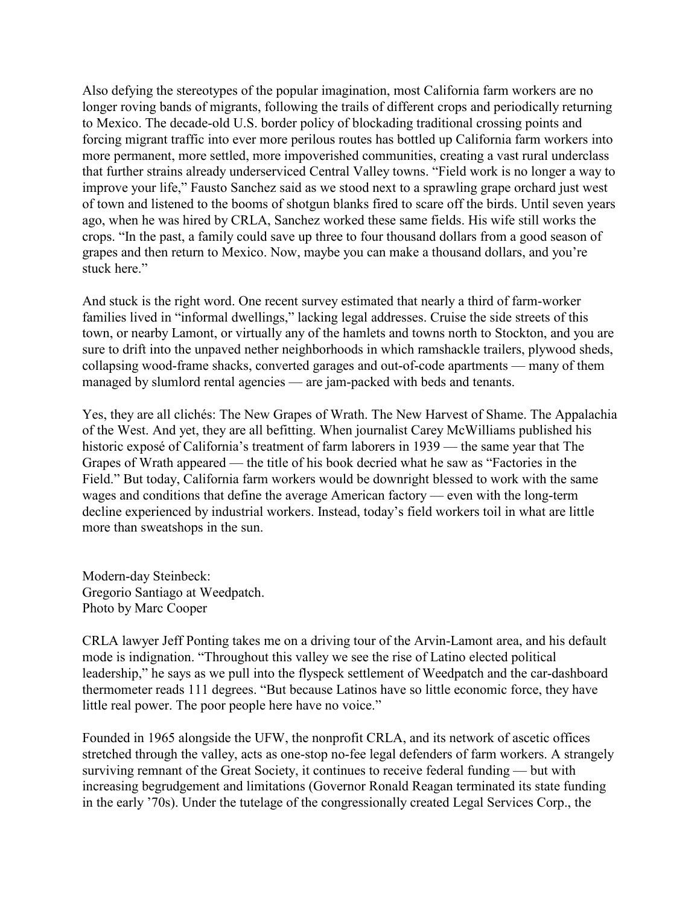Also defying the stereotypes of the popular imagination, most California farm workers are no longer roving bands of migrants, following the trails of different crops and periodically returning to Mexico. The decade-old U.S. border policy of blockading traditional crossing points and forcing migrant traffic into ever more perilous routes has bottled up California farm workers into more permanent, more settled, more impoverished communities, creating a vast rural underclass that further strains already underserviced Central Valley towns. "Field work is no longer a way to improve your life," Fausto Sanchez said as we stood next to a sprawling grape orchard just west of town and listened to the booms of shotgun blanks fired to scare off the birds. Until seven years ago, when he was hired by CRLA, Sanchez worked these same fields. His wife still works the crops. "In the past, a family could save up three to four thousand dollars from a good season of grapes and then return to Mexico. Now, maybe you can make a thousand dollars, and you're stuck here."

And stuck is the right word. One recent survey estimated that nearly a third of farm-worker families lived in "informal dwellings," lacking legal addresses. Cruise the side streets of this town, or nearby Lamont, or virtually any of the hamlets and towns north to Stockton, and you are sure to drift into the unpaved nether neighborhoods in which ramshackle trailers, plywood sheds, collapsing wood-frame shacks, converted garages and out-of-code apartments — many of them managed by slumlord rental agencies — are jam-packed with beds and tenants.

Yes, they are all clichés: The New Grapes of Wrath. The New Harvest of Shame. The Appalachia of the West. And yet, they are all befitting. When journalist Carey McWilliams published his historic exposé of California's treatment of farm laborers in 1939 — the same year that The Grapes of Wrath appeared — the title of his book decried what he saw as "Factories in the Field." But today, California farm workers would be downright blessed to work with the same wages and conditions that define the average American factory — even with the long-term decline experienced by industrial workers. Instead, today's field workers toil in what are little more than sweatshops in the sun.

Modern-day Steinbeck: Gregorio Santiago at Weedpatch. Photo by Marc Cooper

CRLA lawyer Jeff Ponting takes me on a driving tour of the Arvin-Lamont area, and his default mode is indignation. "Throughout this valley we see the rise of Latino elected political leadership," he says as we pull into the flyspeck settlement of Weedpatch and the car-dashboard thermometer reads 111 degrees. "But because Latinos have so little economic force, they have little real power. The poor people here have no voice."

Founded in 1965 alongside the UFW, the nonprofit CRLA, and its network of ascetic offices stretched through the valley, acts as one-stop no-fee legal defenders of farm workers. A strangely surviving remnant of the Great Society, it continues to receive federal funding — but with increasing begrudgement and limitations (Governor Ronald Reagan terminated its state funding in the early '70s). Under the tutelage of the congressionally created Legal Services Corp., the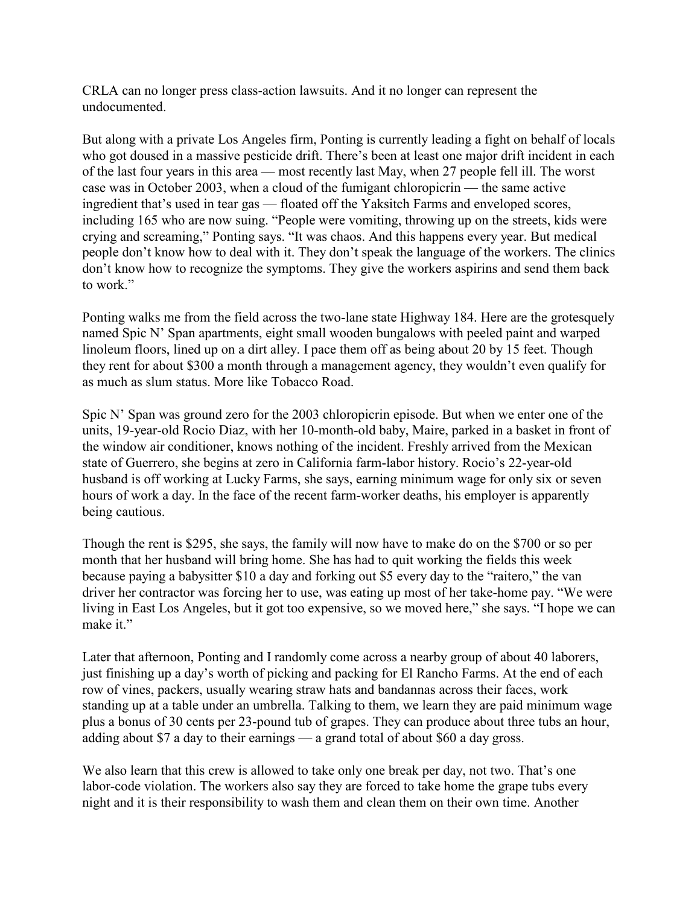CRLA can no longer press class-action lawsuits. And it no longer can represent the undocumented.

But along with a private Los Angeles firm, Ponting is currently leading a fight on behalf of locals who got doused in a massive pesticide drift. There's been at least one major drift incident in each of the last four years in this area — most recently last May, when 27 people fell ill. The worst case was in October 2003, when a cloud of the fumigant chloropicrin — the same active ingredient that's used in tear gas — floated off the Yaksitch Farms and enveloped scores, including 165 who are now suing. "People were vomiting, throwing up on the streets, kids were crying and screaming," Ponting says. "It was chaos. And this happens every year. But medical people don't know how to deal with it. They don't speak the language of the workers. The clinics don't know how to recognize the symptoms. They give the workers aspirins and send them back to work."

Ponting walks me from the field across the two-lane state Highway 184. Here are the grotesquely named Spic N' Span apartments, eight small wooden bungalows with peeled paint and warped linoleum floors, lined up on a dirt alley. I pace them off as being about 20 by 15 feet. Though they rent for about \$300 a month through a management agency, they wouldn't even qualify for as much as slum status. More like Tobacco Road.

Spic N' Span was ground zero for the 2003 chloropicrin episode. But when we enter one of the units, 19-year-old Rocio Diaz, with her 10-month-old baby, Maire, parked in a basket in front of the window air conditioner, knows nothing of the incident. Freshly arrived from the Mexican state of Guerrero, she begins at zero in California farm-labor history. Rocio's 22-year-old husband is off working at Lucky Farms, she says, earning minimum wage for only six or seven hours of work a day. In the face of the recent farm-worker deaths, his employer is apparently being cautious.

Though the rent is \$295, she says, the family will now have to make do on the \$700 or so per month that her husband will bring home. She has had to quit working the fields this week because paying a babysitter \$10 a day and forking out \$5 every day to the "raitero," the van driver her contractor was forcing her to use, was eating up most of her take-home pay. "We were living in East Los Angeles, but it got too expensive, so we moved here," she says. "I hope we can make it."

Later that afternoon, Ponting and I randomly come across a nearby group of about 40 laborers, just finishing up a day's worth of picking and packing for El Rancho Farms. At the end of each row of vines, packers, usually wearing straw hats and bandannas across their faces, work standing up at a table under an umbrella. Talking to them, we learn they are paid minimum wage plus a bonus of 30 cents per 23-pound tub of grapes. They can produce about three tubs an hour, adding about \$7 a day to their earnings — a grand total of about \$60 a day gross.

We also learn that this crew is allowed to take only one break per day, not two. That's one labor-code violation. The workers also say they are forced to take home the grape tubs every night and it is their responsibility to wash them and clean them on their own time. Another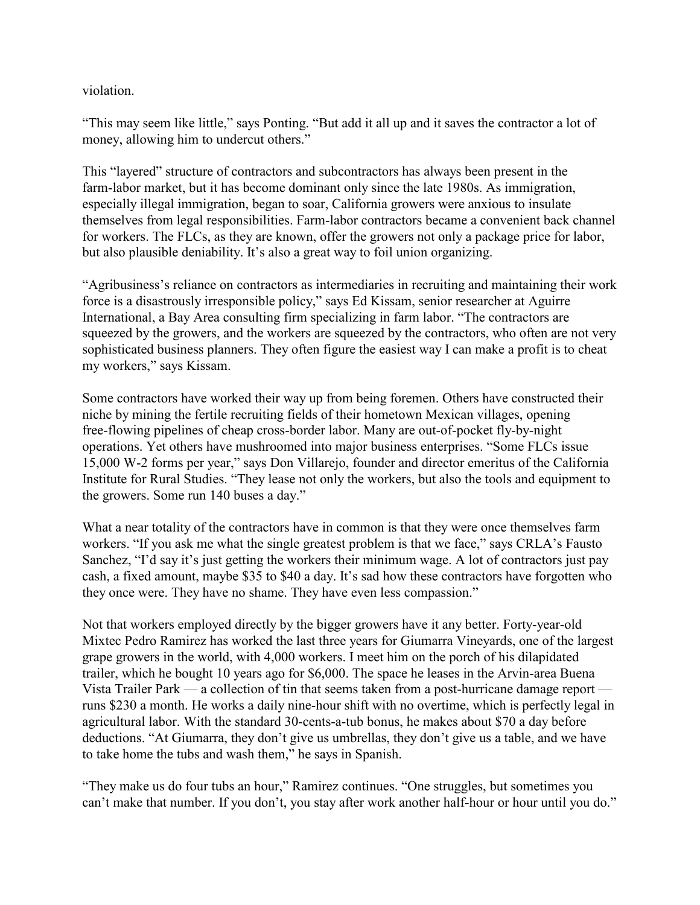violation.

"This may seem like little," says Ponting. "But add it all up and it saves the contractor a lot of money, allowing him to undercut others."

This "layered" structure of contractors and subcontractors has always been present in the farm-labor market, but it has become dominant only since the late 1980s. As immigration, especially illegal immigration, began to soar, California growers were anxious to insulate themselves from legal responsibilities. Farm-labor contractors became a convenient back channel for workers. The FLCs, as they are known, offer the growers not only a package price for labor, but also plausible deniability. It's also a great way to foil union organizing.

"Agribusiness's reliance on contractors as intermediaries in recruiting and maintaining their work force is a disastrously irresponsible policy," says Ed Kissam, senior researcher at Aguirre International, a Bay Area consulting firm specializing in farm labor. "The contractors are squeezed by the growers, and the workers are squeezed by the contractors, who often are not very sophisticated business planners. They often figure the easiest way I can make a profit is to cheat my workers," says Kissam.

Some contractors have worked their way up from being foremen. Others have constructed their niche by mining the fertile recruiting fields of their hometown Mexican villages, opening free-flowing pipelines of cheap cross-border labor. Many are out-of-pocket fly-by-night operations. Yet others have mushroomed into major business enterprises. "Some FLCs issue 15,000 W-2 forms per year," says Don Villarejo, founder and director emeritus of the California Institute for Rural Studies. "They lease not only the workers, but also the tools and equipment to the growers. Some run 140 buses a day."

What a near totality of the contractors have in common is that they were once themselves farm workers. "If you ask me what the single greatest problem is that we face," says CRLA's Fausto Sanchez, "I'd say it's just getting the workers their minimum wage. A lot of contractors just pay cash, a fixed amount, maybe \$35 to \$40 a day. It's sad how these contractors have forgotten who they once were. They have no shame. They have even less compassion."

Not that workers employed directly by the bigger growers have it any better. Forty-year-old Mixtec Pedro Ramirez has worked the last three years for Giumarra Vineyards, one of the largest grape growers in the world, with 4,000 workers. I meet him on the porch of his dilapidated trailer, which he bought 10 years ago for \$6,000. The space he leases in the Arvin-area Buena Vista Trailer Park — a collection of tin that seems taken from a post-hurricane damage report runs \$230 a month. He works a daily nine-hour shift with no overtime, which is perfectly legal in agricultural labor. With the standard 30-cents-a-tub bonus, he makes about \$70 a day before deductions. "At Giumarra, they don't give us umbrellas, they don't give us a table, and we have to take home the tubs and wash them," he says in Spanish.

"They make us do four tubs an hour," Ramirez continues. "One struggles, but sometimes you can't make that number. If you don't, you stay after work another half-hour or hour until you do."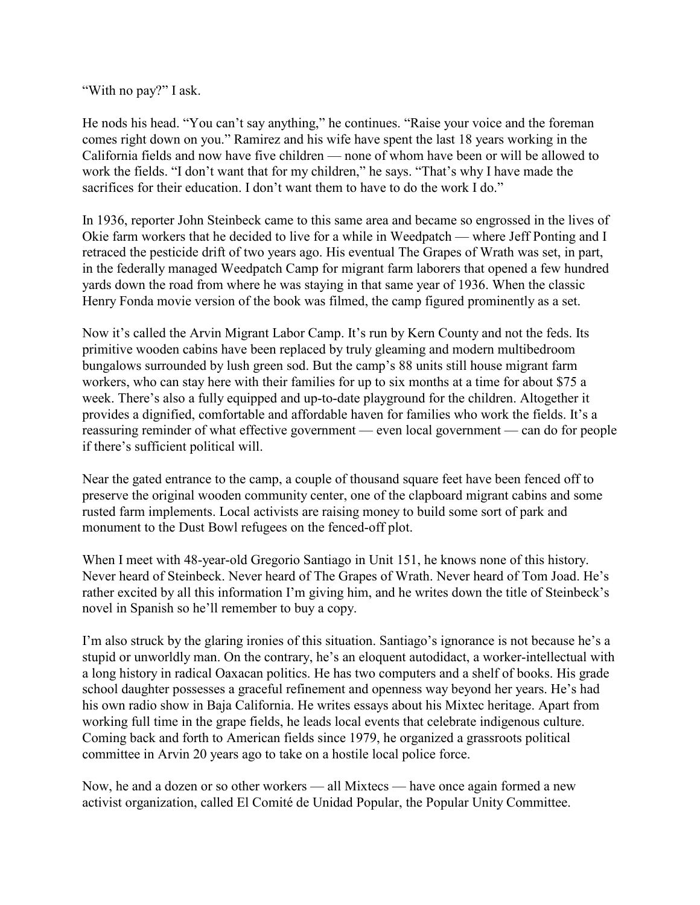"With no pay?" I ask.

He nods his head. "You can't say anything," he continues. "Raise your voice and the foreman comes right down on you." Ramirez and his wife have spent the last 18 years working in the California fields and now have five children — none of whom have been or will be allowed to work the fields. "I don't want that for my children," he says. "That's why I have made the sacrifices for their education. I don't want them to have to do the work I do."

In 1936, reporter John Steinbeck came to this same area and became so engrossed in the lives of Okie farm workers that he decided to live for a while in Weedpatch — where Jeff Ponting and I retraced the pesticide drift of two years ago. His eventual The Grapes of Wrath was set, in part, in the federally managed Weedpatch Camp for migrant farm laborers that opened a few hundred yards down the road from where he was staying in that same year of 1936. When the classic Henry Fonda movie version of the book was filmed, the camp figured prominently as a set.

Now it's called the Arvin Migrant Labor Camp. It's run by Kern County and not the feds. Its primitive wooden cabins have been replaced by truly gleaming and modern multibedroom bungalows surrounded by lush green sod. But the camp's 88 units still house migrant farm workers, who can stay here with their families for up to six months at a time for about \$75 a week. There's also a fully equipped and up-to-date playground for the children. Altogether it provides a dignified, comfortable and affordable haven for families who work the fields. It's a reassuring reminder of what effective government — even local government — can do for people if there's sufficient political will.

Near the gated entrance to the camp, a couple of thousand square feet have been fenced off to preserve the original wooden community center, one of the clapboard migrant cabins and some rusted farm implements. Local activists are raising money to build some sort of park and monument to the Dust Bowl refugees on the fenced-off plot.

When I meet with 48-year-old Gregorio Santiago in Unit 151, he knows none of this history. Never heard of Steinbeck. Never heard of The Grapes of Wrath. Never heard of Tom Joad. He's rather excited by all this information I'm giving him, and he writes down the title of Steinbeck's novel in Spanish so he'll remember to buy a copy.

I'm also struck by the glaring ironies of this situation. Santiago's ignorance is not because he's a stupid or unworldly man. On the contrary, he's an eloquent autodidact, a worker-intellectual with a long history in radical Oaxacan politics. He has two computers and a shelf of books. His grade school daughter possesses a graceful refinement and openness way beyond her years. He's had his own radio show in Baja California. He writes essays about his Mixtec heritage. Apart from working full time in the grape fields, he leads local events that celebrate indigenous culture. Coming back and forth to American fields since 1979, he organized a grassroots political committee in Arvin 20 years ago to take on a hostile local police force.

Now, he and a dozen or so other workers — all Mixtecs — have once again formed a new activist organization, called El Comité de Unidad Popular, the Popular Unity Committee.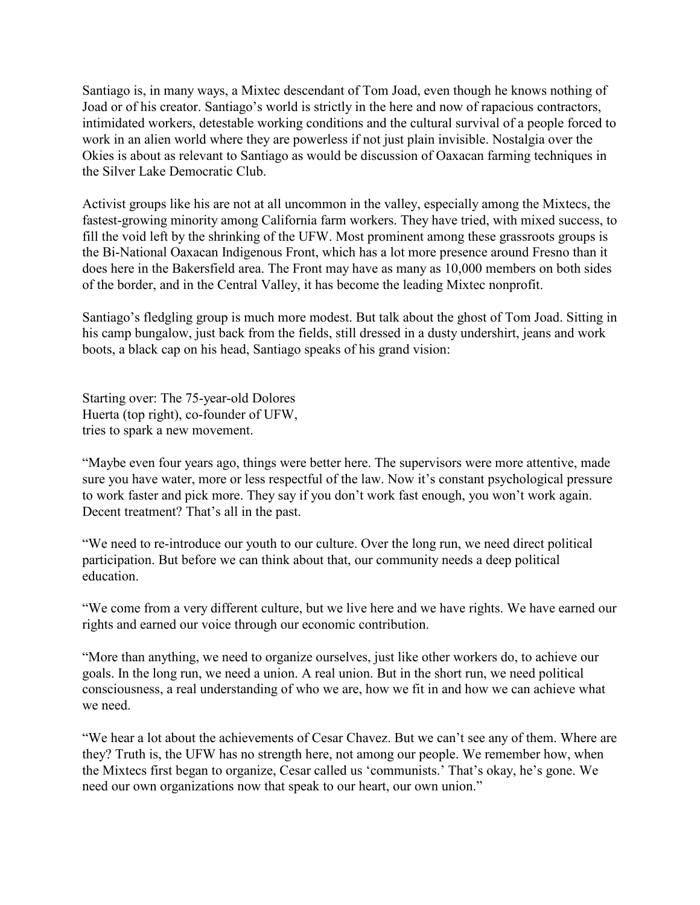Santiago is, in many ways, a Mixtec descendant of Tom Joad, even though he knows nothing of Joad or of his creator. Santiago's world is strictly in the here and now of rapacious contractors, intimidated workers, detestable working conditions and the cultural survival of a people forced to work in an alien world where they are powerless if not just plain invisible. Nostalgia over the Okies is about as relevant to Santiago as would be discussion of Oaxacan farming techniques in the Silver Lake Democratic Club.

Activist groups like his are not at all uncommon in the valley, especially among the Mixtecs, the fastest-growing minority among California farm workers. They have tried, with mixed success, to fill the void left by the shrinking of the UFW. Most prominent among these grassroots groups is the Bi-National Oaxacan Indigenous Front, which has a lot more presence around Fresno than it does here in the Bakersfield area. The Front may have as many as 10,000 members on both sides of the border, and in the Central Valley, it has become the leading Mixtec nonprofit.

Santiago's fledgling group is much more modest. But talk about the ghost of Tom Joad. Sitting in his camp bungalow, just back from the fields, still dressed in a dusty undershirt, jeans and work boots, a black cap on his head, Santiago speaks of his grand vision:

Starting over: The 75-year-old Dolores Huerta (top right), co-founder of UFW, tries to spark a new movement.

"Maybe even four years ago, things were better here. The supervisors were more attentive, made sure you have water, more or less respectful of the law. Now it's constant psychological pressure to work faster and pick more. They say if you don't work fast enough, you won't work again. Decent treatment? That's all in the past.

"We need to re-introduce our youth to our culture. Over the long run, we need direct political participation. But before we can think about that, our community needs a deep political education.

"We come from a very different culture, but we live here and we have rights. We have earned our rights and earned our voice through our economic contribution.

"More than anything, we need to organize ourselves, just like other workers do, to achieve our goals. In the long run, we need a union. A real union. But in the short run, we need political consciousness, a real understanding of who we are, how we fit in and how we can achieve what we need.

"We hear a lot about the achievements of Cesar Chavez. But we can't see any of them. Where are they? Truth is, the UFW has no strength here, not among our people. We remember how, when the Mixtecs first began to organize, Cesar called us 'communists.' That's okay, he's gone. We need our own organizations now that speak to our heart, our own union."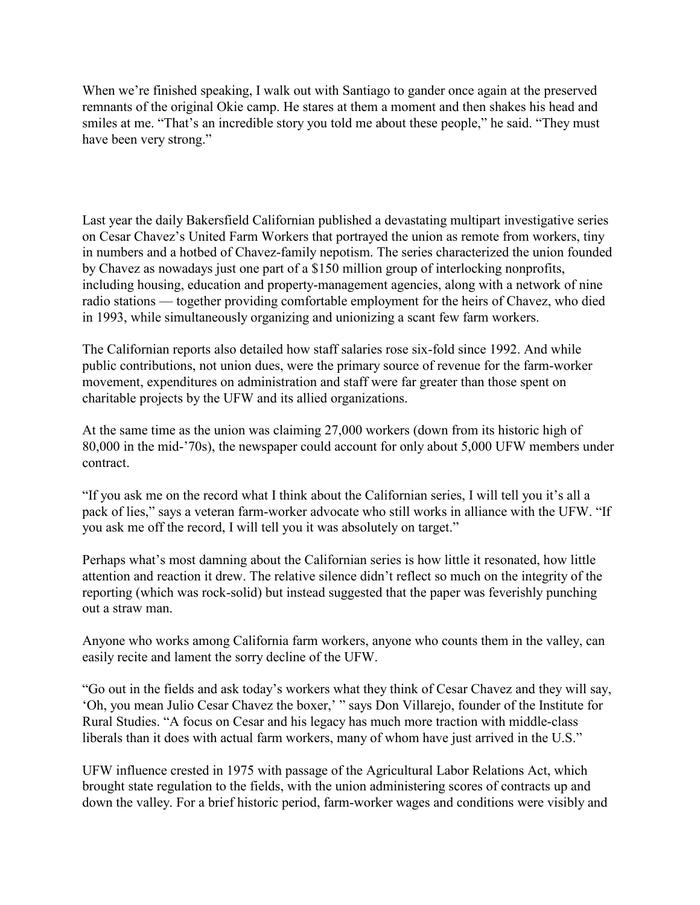When we're finished speaking, I walk out with Santiago to gander once again at the preserved remnants of the original Okie camp. He stares at them a moment and then shakes his head and smiles at me. "That's an incredible story you told me about these people," he said. "They must have been very strong."

Last year the daily Bakersfield Californian published a devastating multipart investigative series on Cesar Chavez's United Farm Workers that portrayed the union as remote from workers, tiny in numbers and a hotbed of Chavez-family nepotism. The series characterized the union founded by Chavez as nowadays just one part of a \$150 million group of interlocking nonprofits, including housing, education and property-management agencies, along with a network of nine radio stations — together providing comfortable employment for the heirs of Chavez, who died in 1993, while simultaneously organizing and unionizing a scant few farm workers.

The Californian reports also detailed how staff salaries rose six-fold since 1992. And while public contributions, not union dues, were the primary source of revenue for the farm-worker movement, expenditures on administration and staff were far greater than those spent on charitable projects by the UFW and its allied organizations.

At the same time as the union was claiming 27,000 workers (down from its historic high of 80,000 in the mid-'70s), the newspaper could account for only about 5,000 UFW members under contract.

"If you ask me on the record what I think about the Californian series, I will tell you it's all a pack of lies," says a veteran farm-worker advocate who still works in alliance with the UFW. "If you ask me off the record, I will tell you it was absolutely on target."

Perhaps what's most damning about the Californian series is how little it resonated, how little attention and reaction it drew. The relative silence didn't reflect so much on the integrity of the reporting (which was rock-solid) but instead suggested that the paper was feverishly punching out a straw man.

Anyone who works among California farm workers, anyone who counts them in the valley, can easily recite and lament the sorry decline of the UFW.

"Go out in the fields and ask today's workers what they think of Cesar Chavez and they will say, 'Oh, you mean Julio Cesar Chavez the boxer,' " says Don Villarejo, founder of the Institute for Rural Studies. "A focus on Cesar and his legacy has much more traction with middle-class liberals than it does with actual farm workers, many of whom have just arrived in the U.S."

UFW influence crested in 1975 with passage of the Agricultural Labor Relations Act, which brought state regulation to the fields, with the union administering scores of contracts up and down the valley. For a brief historic period, farm-worker wages and conditions were visibly and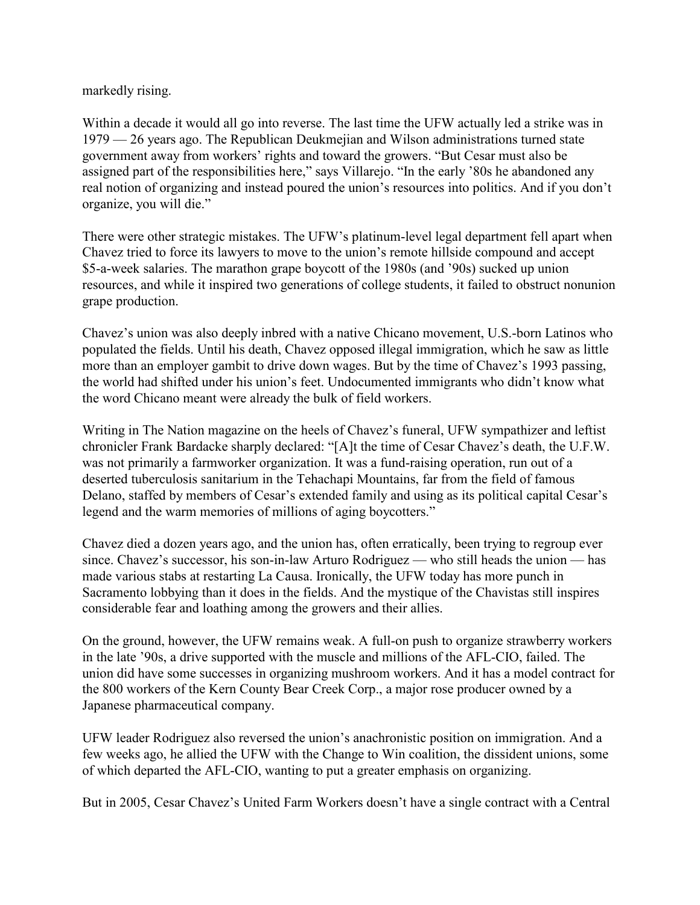markedly rising.

Within a decade it would all go into reverse. The last time the UFW actually led a strike was in 1979 — 26 years ago. The Republican Deukmejian and Wilson administrations turned state government away from workers' rights and toward the growers. "But Cesar must also be assigned part of the responsibilities here," says Villarejo. "In the early '80s he abandoned any real notion of organizing and instead poured the union's resources into politics. And if you don't organize, you will die."

There were other strategic mistakes. The UFW's platinum-level legal department fell apart when Chavez tried to force its lawyers to move to the union's remote hillside compound and accept \$5-a-week salaries. The marathon grape boycott of the 1980s (and '90s) sucked up union resources, and while it inspired two generations of college students, it failed to obstruct nonunion grape production.

Chavez's union was also deeply inbred with a native Chicano movement, U.S.-born Latinos who populated the fields. Until his death, Chavez opposed illegal immigration, which he saw as little more than an employer gambit to drive down wages. But by the time of Chavez's 1993 passing, the world had shifted under his union's feet. Undocumented immigrants who didn't know what the word Chicano meant were already the bulk of field workers.

Writing in The Nation magazine on the heels of Chavez's funeral, UFW sympathizer and leftist chronicler Frank Bardacke sharply declared: "[A]t the time of Cesar Chavez's death, the U.F.W. was not primarily a farmworker organization. It was a fund-raising operation, run out of a deserted tuberculosis sanitarium in the Tehachapi Mountains, far from the field of famous Delano, staffed by members of Cesar's extended family and using as its political capital Cesar's legend and the warm memories of millions of aging boycotters."

Chavez died a dozen years ago, and the union has, often erratically, been trying to regroup ever since. Chavez's successor, his son-in-law Arturo Rodriguez — who still heads the union — has made various stabs at restarting La Causa. Ironically, the UFW today has more punch in Sacramento lobbying than it does in the fields. And the mystique of the Chavistas still inspires considerable fear and loathing among the growers and their allies.

On the ground, however, the UFW remains weak. A full-on push to organize strawberry workers in the late '90s, a drive supported with the muscle and millions of the AFL-CIO, failed. The union did have some successes in organizing mushroom workers. And it has a model contract for the 800 workers of the Kern County Bear Creek Corp., a major rose producer owned by a Japanese pharmaceutical company.

UFW leader Rodriguez also reversed the union's anachronistic position on immigration. And a few weeks ago, he allied the UFW with the Change to Win coalition, the dissident unions, some of which departed the AFL-CIO, wanting to put a greater emphasis on organizing.

But in 2005, Cesar Chavez's United Farm Workers doesn't have a single contract with a Central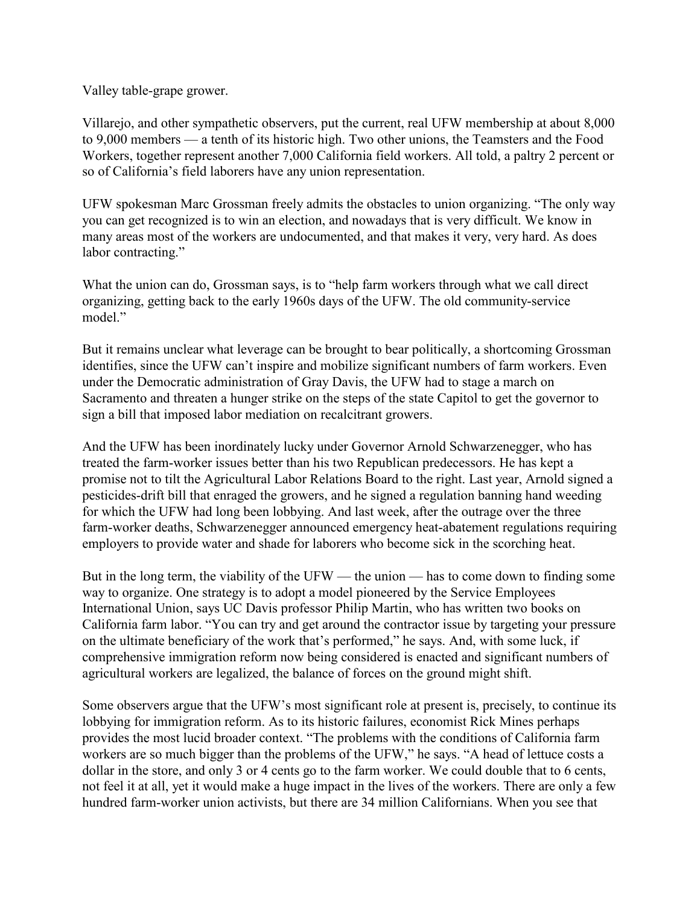Valley table-grape grower.

Villarejo, and other sympathetic observers, put the current, real UFW membership at about 8,000 to 9,000 members — a tenth of its historic high. Two other unions, the Teamsters and the Food Workers, together represent another 7,000 California field workers. All told, a paltry 2 percent or so of California's field laborers have any union representation.

UFW spokesman Marc Grossman freely admits the obstacles to union organizing. "The only way you can get recognized is to win an election, and nowadays that is very difficult. We know in many areas most of the workers are undocumented, and that makes it very, very hard. As does labor contracting."

What the union can do, Grossman says, is to "help farm workers through what we call direct organizing, getting back to the early 1960s days of the UFW. The old community-service model"

But it remains unclear what leverage can be brought to bear politically, a shortcoming Grossman identifies, since the UFW can't inspire and mobilize significant numbers of farm workers. Even under the Democratic administration of Gray Davis, the UFW had to stage a march on Sacramento and threaten a hunger strike on the steps of the state Capitol to get the governor to sign a bill that imposed labor mediation on recalcitrant growers.

And the UFW has been inordinately lucky under Governor Arnold Schwarzenegger, who has treated the farm-worker issues better than his two Republican predecessors. He has kept a promise not to tilt the Agricultural Labor Relations Board to the right. Last year, Arnold signed a pesticides-drift bill that enraged the growers, and he signed a regulation banning hand weeding for which the UFW had long been lobbying. And last week, after the outrage over the three farm-worker deaths, Schwarzenegger announced emergency heat-abatement regulations requiring employers to provide water and shade for laborers who become sick in the scorching heat.

But in the long term, the viability of the UFW — the union — has to come down to finding some way to organize. One strategy is to adopt a model pioneered by the Service Employees International Union, says UC Davis professor Philip Martin, who has written two books on California farm labor. "You can try and get around the contractor issue by targeting your pressure on the ultimate beneficiary of the work that's performed," he says. And, with some luck, if comprehensive immigration reform now being considered is enacted and significant numbers of agricultural workers are legalized, the balance of forces on the ground might shift.

Some observers argue that the UFW's most significant role at present is, precisely, to continue its lobbying for immigration reform. As to its historic failures, economist Rick Mines perhaps provides the most lucid broader context. "The problems with the conditions of California farm workers are so much bigger than the problems of the UFW," he says. "A head of lettuce costs a dollar in the store, and only 3 or 4 cents go to the farm worker. We could double that to 6 cents, not feel it at all, yet it would make a huge impact in the lives of the workers. There are only a few hundred farm-worker union activists, but there are 34 million Californians. When you see that